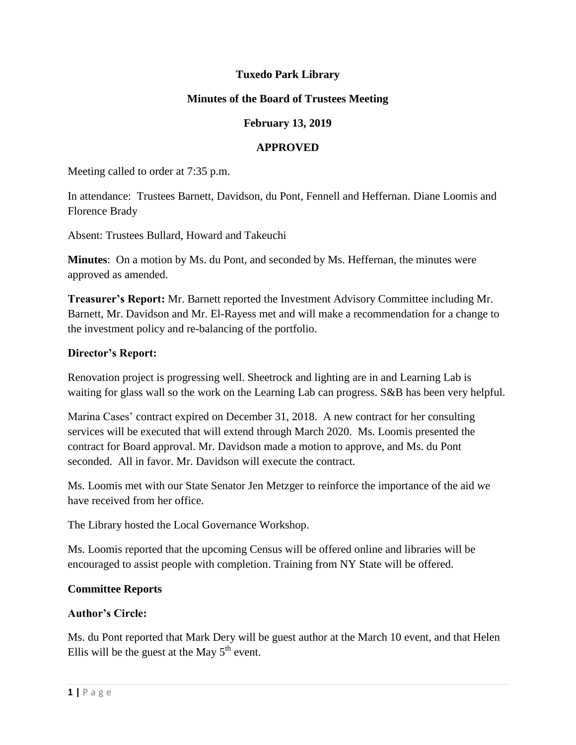# **Tuxedo Park Library**

### **Minutes of the Board of Trustees Meeting**

# **February 13, 2019**

#### **APPROVED**

Meeting called to order at 7:35 p.m.

In attendance: Trustees Barnett, Davidson, du Pont, Fennell and Heffernan. Diane Loomis and Florence Brady

Absent: Trustees Bullard, Howard and Takeuchi

**Minutes**: On a motion by Ms. du Pont, and seconded by Ms. Heffernan, the minutes were approved as amended.

**Treasurer's Report:** Mr. Barnett reported the Investment Advisory Committee including Mr. Barnett, Mr. Davidson and Mr. El-Rayess met and will make a recommendation for a change to the investment policy and re-balancing of the portfolio.

#### **Director's Report:**

Renovation project is progressing well. Sheetrock and lighting are in and Learning Lab is waiting for glass wall so the work on the Learning Lab can progress. S&B has been very helpful.

Marina Cases' contract expired on December 31, 2018. A new contract for her consulting services will be executed that will extend through March 2020. Ms. Loomis presented the contract for Board approval. Mr. Davidson made a motion to approve, and Ms. du Pont seconded. All in favor. Mr. Davidson will execute the contract.

Ms. Loomis met with our State Senator Jen Metzger to reinforce the importance of the aid we have received from her office.

The Library hosted the Local Governance Workshop.

Ms. Loomis reported that the upcoming Census will be offered online and libraries will be encouraged to assist people with completion. Training from NY State will be offered.

#### **Committee Reports**

#### **Author's Circle:**

Ms. du Pont reported that Mark Dery will be guest author at the March 10 event, and that Helen Ellis will be the guest at the May  $5<sup>th</sup>$  event.